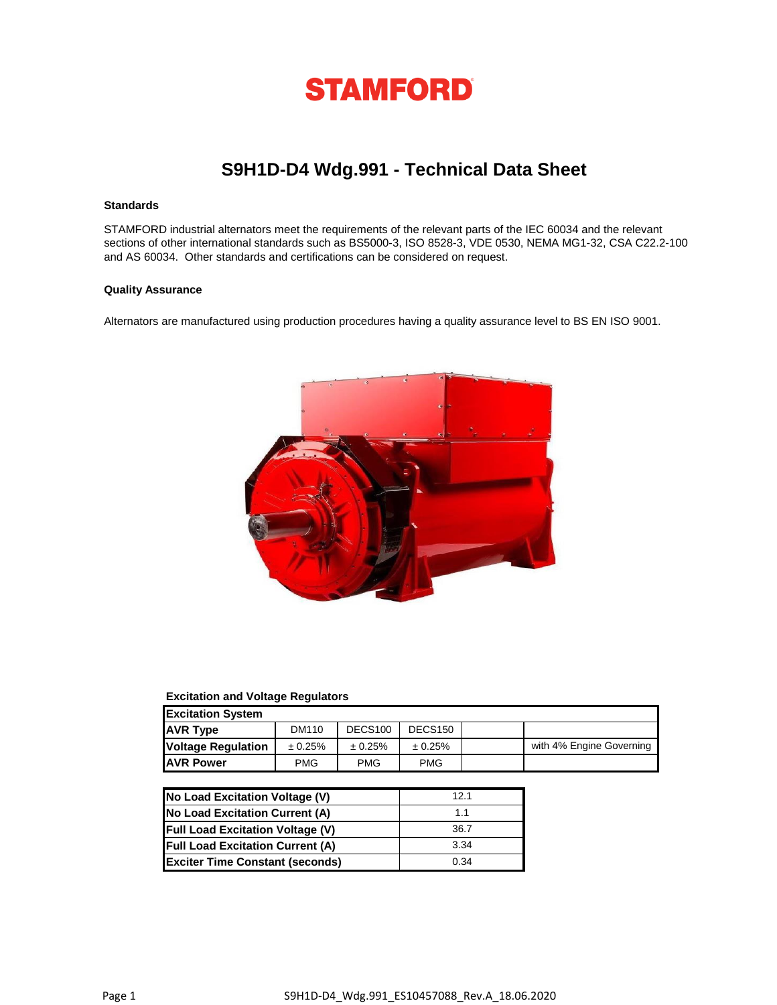

## **S9H1D-D4 Wdg.991 - Technical Data Sheet**

#### **Standards**

STAMFORD industrial alternators meet the requirements of the relevant parts of the IEC 60034 and the relevant sections of other international standards such as BS5000-3, ISO 8528-3, VDE 0530, NEMA MG1-32, CSA C22.2-100 and AS 60034. Other standards and certifications can be considered on request.

#### **Quality Assurance**

Alternators are manufactured using production procedures having a quality assurance level to BS EN ISO 9001.



#### **Excitation and Voltage Regulators**

| <b>Excitation System</b>  |            |                     |                     |                          |
|---------------------------|------------|---------------------|---------------------|--------------------------|
| <b>AVR Type</b>           | DM110      | DECS <sub>100</sub> | DECS <sub>150</sub> |                          |
| <b>Voltage Regulation</b> | ± 0.25%    | ± 0.25%             | ± 0.25%             | with 4% Engine Governing |
| <b>JAVR Power</b>         | <b>PMG</b> | <b>PMG</b>          | <b>PMG</b>          |                          |

| No Load Excitation Voltage (V)          | 121            |
|-----------------------------------------|----------------|
| No Load Excitation Current (A)          | 1 <sub>1</sub> |
| <b>Full Load Excitation Voltage (V)</b> | 36.7           |
| <b>Full Load Excitation Current (A)</b> | 3.34           |
| <b>Exciter Time Constant (seconds)</b>  | 0.34           |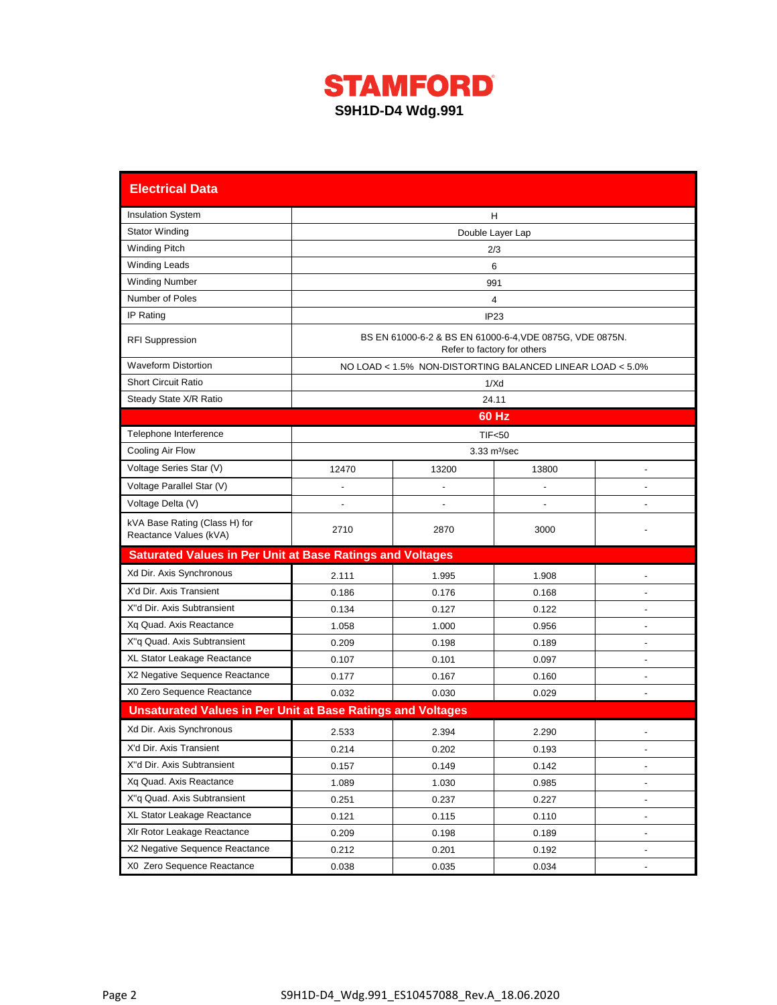

| <b>Electrical Data</b>                                             |                                                                                         |                                                           |                               |                |  |  |  |  |  |  |  |
|--------------------------------------------------------------------|-----------------------------------------------------------------------------------------|-----------------------------------------------------------|-------------------------------|----------------|--|--|--|--|--|--|--|
| <b>Insulation System</b>                                           | H                                                                                       |                                                           |                               |                |  |  |  |  |  |  |  |
| <b>Stator Winding</b>                                              | Double Layer Lap                                                                        |                                                           |                               |                |  |  |  |  |  |  |  |
| <b>Winding Pitch</b>                                               | 2/3                                                                                     |                                                           |                               |                |  |  |  |  |  |  |  |
| <b>Winding Leads</b>                                               | 6                                                                                       |                                                           |                               |                |  |  |  |  |  |  |  |
| <b>Winding Number</b>                                              | 991                                                                                     |                                                           |                               |                |  |  |  |  |  |  |  |
| Number of Poles                                                    | 4                                                                                       |                                                           |                               |                |  |  |  |  |  |  |  |
| IP Rating                                                          | IP23                                                                                    |                                                           |                               |                |  |  |  |  |  |  |  |
| <b>RFI Suppression</b>                                             | BS EN 61000-6-2 & BS EN 61000-6-4, VDE 0875G, VDE 0875N.<br>Refer to factory for others |                                                           |                               |                |  |  |  |  |  |  |  |
| <b>Waveform Distortion</b>                                         |                                                                                         | NO LOAD < 1.5% NON-DISTORTING BALANCED LINEAR LOAD < 5.0% |                               |                |  |  |  |  |  |  |  |
| <b>Short Circuit Ratio</b>                                         |                                                                                         |                                                           | 1/Xd                          |                |  |  |  |  |  |  |  |
| Steady State X/R Ratio                                             |                                                                                         | 24.11                                                     |                               |                |  |  |  |  |  |  |  |
|                                                                    |                                                                                         |                                                           | 60 Hz                         |                |  |  |  |  |  |  |  |
| Telephone Interference                                             |                                                                                         |                                                           | <b>TIF&lt;50</b>              |                |  |  |  |  |  |  |  |
| Cooling Air Flow                                                   |                                                                                         |                                                           | $3.33 \text{ m}^3/\text{sec}$ |                |  |  |  |  |  |  |  |
| Voltage Series Star (V)                                            | 12470                                                                                   | 13200                                                     | 13800                         |                |  |  |  |  |  |  |  |
| Voltage Parallel Star (V)                                          |                                                                                         |                                                           |                               |                |  |  |  |  |  |  |  |
| Voltage Delta (V)                                                  |                                                                                         |                                                           |                               |                |  |  |  |  |  |  |  |
| kVA Base Rating (Class H) for<br>Reactance Values (kVA)            | 2710                                                                                    | 2870                                                      | 3000                          |                |  |  |  |  |  |  |  |
| <b>Saturated Values in Per Unit at Base Ratings and Voltages</b>   |                                                                                         |                                                           |                               |                |  |  |  |  |  |  |  |
| Xd Dir. Axis Synchronous                                           | 2.111                                                                                   | 1.995                                                     | 1.908                         |                |  |  |  |  |  |  |  |
| X'd Dir. Axis Transient                                            | 0.186                                                                                   | 0.176                                                     | 0.168                         |                |  |  |  |  |  |  |  |
| X"d Dir. Axis Subtransient                                         | 0.134                                                                                   | 0.127                                                     | 0.122                         |                |  |  |  |  |  |  |  |
| Xq Quad. Axis Reactance                                            | 1.058                                                                                   | 1.000                                                     | 0.956                         |                |  |  |  |  |  |  |  |
| X"q Quad. Axis Subtransient                                        | 0.209                                                                                   | 0.198                                                     | 0.189                         | ٠              |  |  |  |  |  |  |  |
| XL Stator Leakage Reactance                                        | 0.107                                                                                   | 0.101                                                     | 0.097                         | $\blacksquare$ |  |  |  |  |  |  |  |
| X2 Negative Sequence Reactance                                     | 0.177                                                                                   | 0.167                                                     | 0.160                         |                |  |  |  |  |  |  |  |
| X0 Zero Sequence Reactance                                         | 0.032                                                                                   | 0.030                                                     | 0.029                         |                |  |  |  |  |  |  |  |
| <b>Unsaturated Values in Per Unit at Base Ratings and Voltages</b> |                                                                                         |                                                           |                               |                |  |  |  |  |  |  |  |
| Xd Dir. Axis Synchronous                                           | 2.533                                                                                   | 2.394                                                     | 2.290                         |                |  |  |  |  |  |  |  |
| X'd Dir. Axis Transient                                            | 0.214                                                                                   | 0.202                                                     | 0.193                         |                |  |  |  |  |  |  |  |
| X"d Dir. Axis Subtransient                                         | 0.157                                                                                   | 0.149                                                     | 0.142                         |                |  |  |  |  |  |  |  |
| Xq Quad. Axis Reactance                                            | 1.089                                                                                   | 1.030                                                     | 0.985                         |                |  |  |  |  |  |  |  |
| X"q Quad. Axis Subtransient                                        | 0.251                                                                                   | 0.237                                                     | 0.227                         |                |  |  |  |  |  |  |  |
| XL Stator Leakage Reactance                                        | 0.121                                                                                   | 0.115                                                     | 0.110                         |                |  |  |  |  |  |  |  |
| XIr Rotor Leakage Reactance                                        | 0.209                                                                                   | 0.198                                                     | 0.189                         |                |  |  |  |  |  |  |  |
| X2 Negative Sequence Reactance                                     | 0.212                                                                                   | 0.201                                                     | 0.192                         |                |  |  |  |  |  |  |  |
| X0 Zero Sequence Reactance                                         | 0.038                                                                                   | 0.035                                                     | 0.034                         |                |  |  |  |  |  |  |  |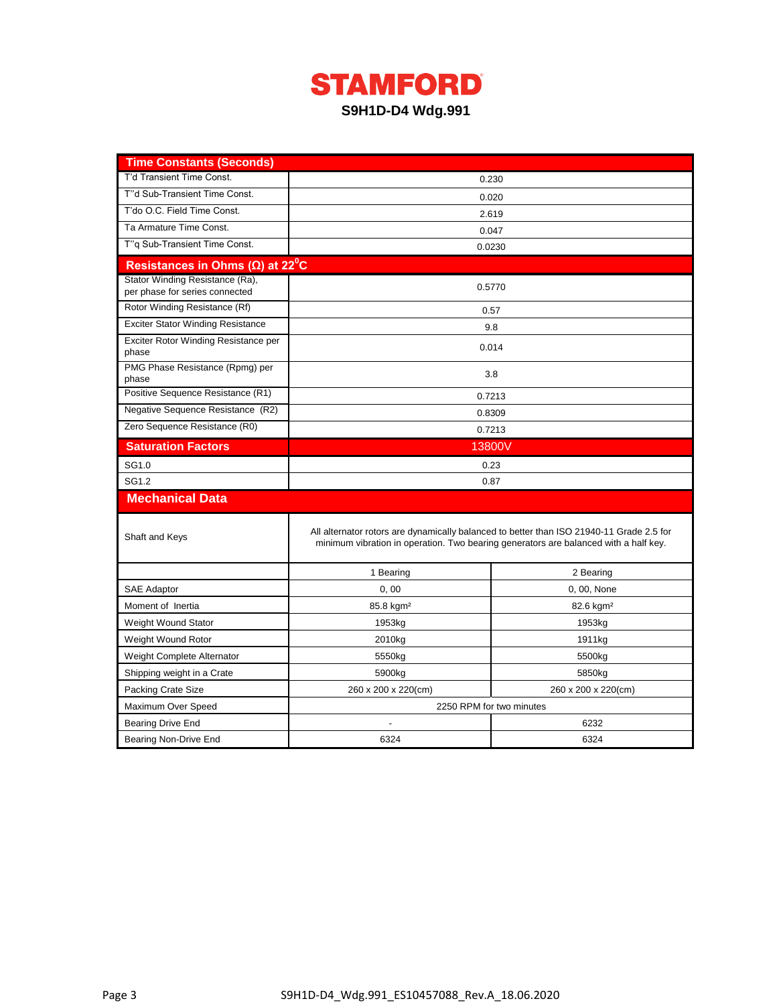# **STAMFORD S9H1D-D4 Wdg.991**

| <b>Time Constants (Seconds)</b>                                   |                                                                                      |                                                                                          |  |  |  |  |  |  |
|-------------------------------------------------------------------|--------------------------------------------------------------------------------------|------------------------------------------------------------------------------------------|--|--|--|--|--|--|
| T'd Transient Time Const.                                         |                                                                                      | 0.230                                                                                    |  |  |  |  |  |  |
| T"d Sub-Transient Time Const.                                     |                                                                                      | 0.020                                                                                    |  |  |  |  |  |  |
| T'do O.C. Field Time Const.                                       |                                                                                      | 2.619                                                                                    |  |  |  |  |  |  |
| Ta Armature Time Const.                                           | 0.047                                                                                |                                                                                          |  |  |  |  |  |  |
| T"g Sub-Transient Time Const.                                     | 0.0230                                                                               |                                                                                          |  |  |  |  |  |  |
| Resistances in Ohms ( $\Omega$ ) at 22 <sup>°</sup> C             |                                                                                      |                                                                                          |  |  |  |  |  |  |
| Stator Winding Resistance (Ra),<br>per phase for series connected | 0.5770                                                                               |                                                                                          |  |  |  |  |  |  |
| Rotor Winding Resistance (Rf)                                     |                                                                                      | 0.57                                                                                     |  |  |  |  |  |  |
| <b>Exciter Stator Winding Resistance</b>                          |                                                                                      | 9.8                                                                                      |  |  |  |  |  |  |
| Exciter Rotor Winding Resistance per<br>phase                     |                                                                                      | 0.014                                                                                    |  |  |  |  |  |  |
| PMG Phase Resistance (Rpmg) per<br>phase                          |                                                                                      | 3.8                                                                                      |  |  |  |  |  |  |
| Positive Sequence Resistance (R1)                                 |                                                                                      | 0.7213                                                                                   |  |  |  |  |  |  |
| Negative Sequence Resistance (R2)                                 |                                                                                      | 0.8309                                                                                   |  |  |  |  |  |  |
| Zero Sequence Resistance (R0)                                     |                                                                                      | 0.7213                                                                                   |  |  |  |  |  |  |
| <b>Saturation Factors</b>                                         | 13800V                                                                               |                                                                                          |  |  |  |  |  |  |
| SG1.0                                                             | 0.23                                                                                 |                                                                                          |  |  |  |  |  |  |
| SG1.2                                                             | 0.87                                                                                 |                                                                                          |  |  |  |  |  |  |
| <b>Mechanical Data</b>                                            |                                                                                      |                                                                                          |  |  |  |  |  |  |
| Shaft and Keys                                                    | minimum vibration in operation. Two bearing generators are balanced with a half key. | All alternator rotors are dynamically balanced to better than ISO 21940-11 Grade 2.5 for |  |  |  |  |  |  |
|                                                                   | 1 Bearing                                                                            | 2 Bearing                                                                                |  |  |  |  |  |  |
| <b>SAE Adaptor</b>                                                | 0,00                                                                                 | 0, 00, None                                                                              |  |  |  |  |  |  |
| Moment of Inertia                                                 | 85.8 kgm <sup>2</sup>                                                                | 82.6 kgm <sup>2</sup>                                                                    |  |  |  |  |  |  |
| Weight Wound Stator                                               | 1953kg                                                                               | 1953kg                                                                                   |  |  |  |  |  |  |
| Weight Wound Rotor                                                | 2010kg                                                                               | 1911kg                                                                                   |  |  |  |  |  |  |
| Weight Complete Alternator                                        | 5550kg                                                                               | 5500kg                                                                                   |  |  |  |  |  |  |
| Shipping weight in a Crate                                        | 5900kg                                                                               | 5850kg                                                                                   |  |  |  |  |  |  |
| <b>Packing Crate Size</b>                                         | 260 x 200 x 220(cm)                                                                  | 260 x 200 x 220(cm)                                                                      |  |  |  |  |  |  |
| Maximum Over Speed                                                |                                                                                      | 2250 RPM for two minutes                                                                 |  |  |  |  |  |  |
| <b>Bearing Drive End</b>                                          |                                                                                      | 6232                                                                                     |  |  |  |  |  |  |
| Bearing Non-Drive End                                             | 6324                                                                                 | 6324                                                                                     |  |  |  |  |  |  |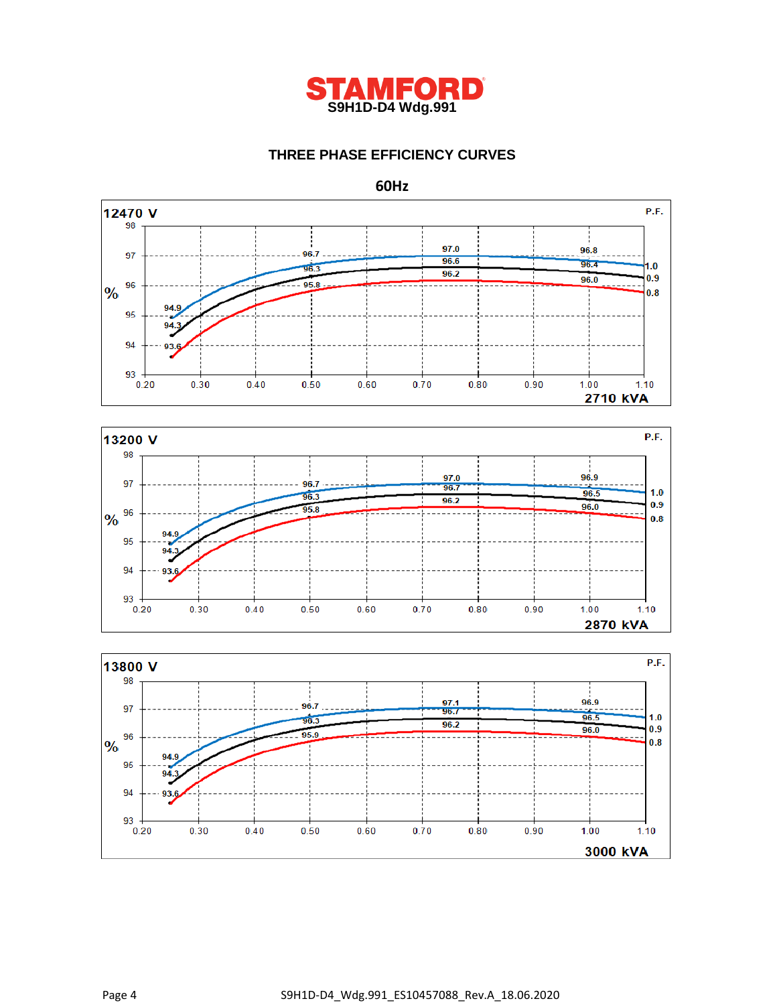

## **THREE PHASE EFFICIENCY CURVES**

**60Hz**





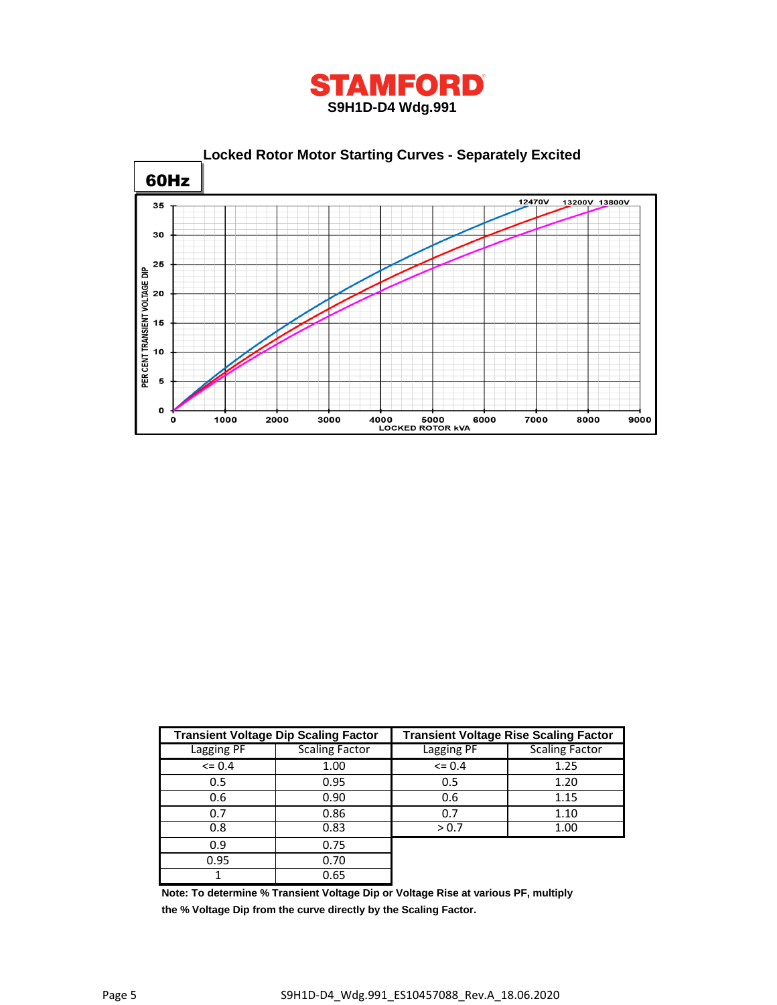



|            | <b>Transient Voltage Dip Scaling Factor</b> | <b>Transient Voltage Rise Scaling Factor</b> |                       |  |  |  |  |
|------------|---------------------------------------------|----------------------------------------------|-----------------------|--|--|--|--|
| Lagging PF | <b>Scaling Factor</b>                       | Lagging PF                                   | <b>Scaling Factor</b> |  |  |  |  |
| $\leq 0.4$ | 1.00                                        | $\leq$ 0.4                                   | 1.25                  |  |  |  |  |
| 0.5        | 0.95                                        | 0.5                                          | 1.20                  |  |  |  |  |
| 0.6        | 0.90                                        | 0.6                                          | 1.15                  |  |  |  |  |
| 0.7        | 0.86                                        | 0.7                                          | 1.10                  |  |  |  |  |
| 0.8        | 0.83                                        | > 0.7                                        | 1.00                  |  |  |  |  |
| 0.9        | 0.75                                        |                                              |                       |  |  |  |  |
| 0.95       | 0.70                                        |                                              |                       |  |  |  |  |
|            | 0.65                                        |                                              |                       |  |  |  |  |

**Note: To determine % Transient Voltage Dip or Voltage Rise at various PF, multiply the % Voltage Dip from the curve directly by the Scaling Factor.**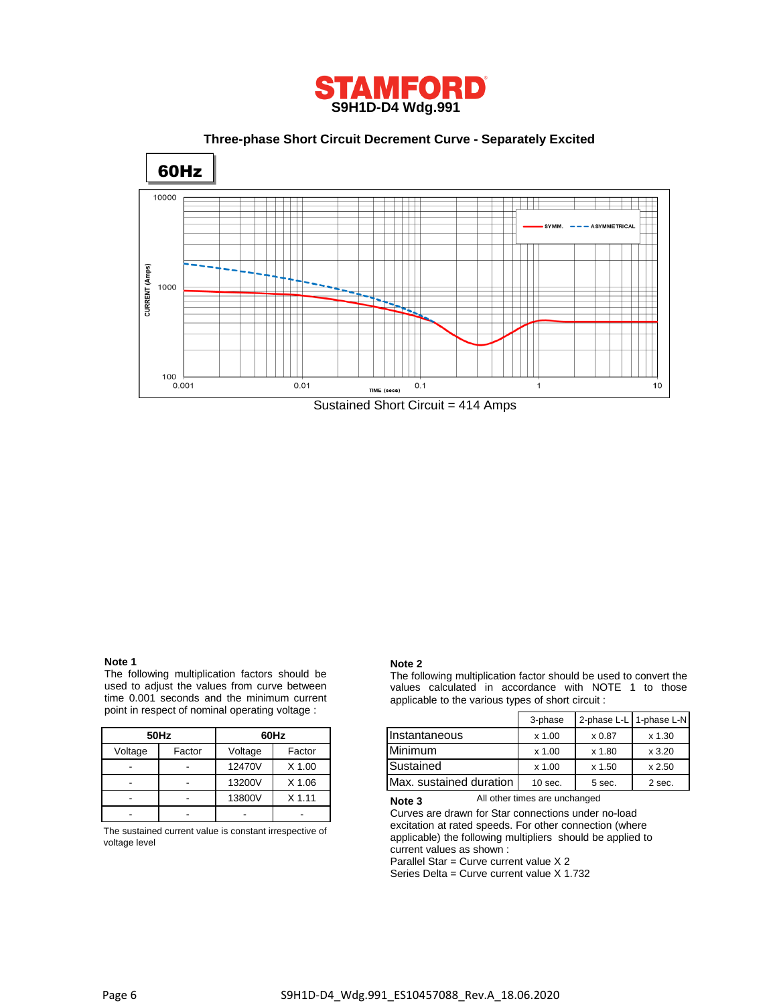

 **Three-phase Short Circuit Decrement Curve - Separately Excited**



#### **Note 1**

The following multiplication factors should be used to adjust the values from curve between time 0.001 seconds and the minimum current point in respect of nominal operating voltage :

|         | 50Hz   | 60Hz    |          |  |  |  |  |
|---------|--------|---------|----------|--|--|--|--|
| Voltage | Factor | Voltage | Factor   |  |  |  |  |
|         |        | 12470V  | $X$ 1.00 |  |  |  |  |
|         |        | 13200V  | $X$ 1.06 |  |  |  |  |
|         |        | 13800V  | $X$ 1.11 |  |  |  |  |
|         |        |         |          |  |  |  |  |

The sustained current value is constant irrespective of voltage level

#### **Note 2**

The following multiplication factor should be used to convert the values calculated in accordance with NOTE 1 to those applicable to the various types of short circuit :

|              | erit in respect of norminal operating voltage. |               | 3-phase  | 2-phase L-L   1-phase L-N |           |          |        |
|--------------|------------------------------------------------|---------------|----------|---------------------------|-----------|----------|--------|
| 50Hz<br>60Hz |                                                | Instantaneous | $x$ 1.00 | x 0.87                    | $x$ 1.30  |          |        |
| Voltage      | Factor                                         | Voltage       | Factor   | <b>Minimum</b>            | $x$ 1.00  | x 1.80   | x3.20  |
| -            |                                                | 12470V        | X 1.00   | Sustained                 | x 1.00    | $x$ 1.50 | x 2.50 |
| -            | $\sim$                                         | 13200V        | X 1.06   | Max. sustained duration   | $10$ sec. | 5 sec.   | 2 sec. |

All other times are unchanged **Note 3**

Curves are drawn for Star connections under no-load excitation at rated speeds. For other connection (where applicable) the following multipliers should be applied to current values as shown :

Parallel Star = Curve current value X 2

Series Delta = Curve current value X 1.732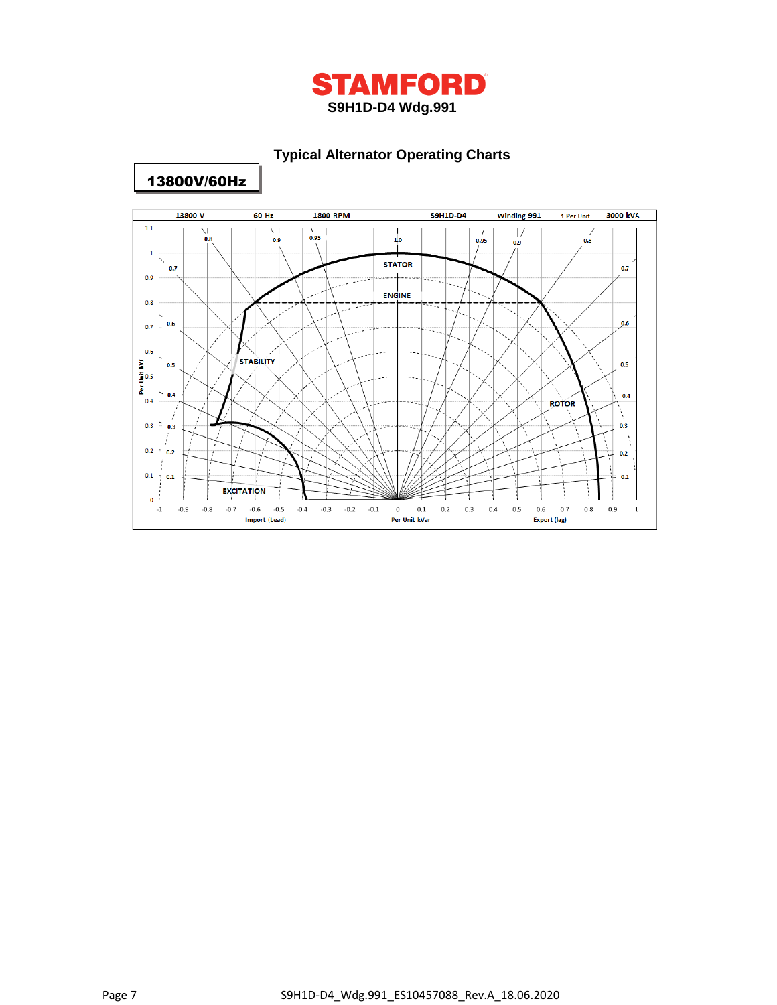

## **Typical Alternator Operating Charts**



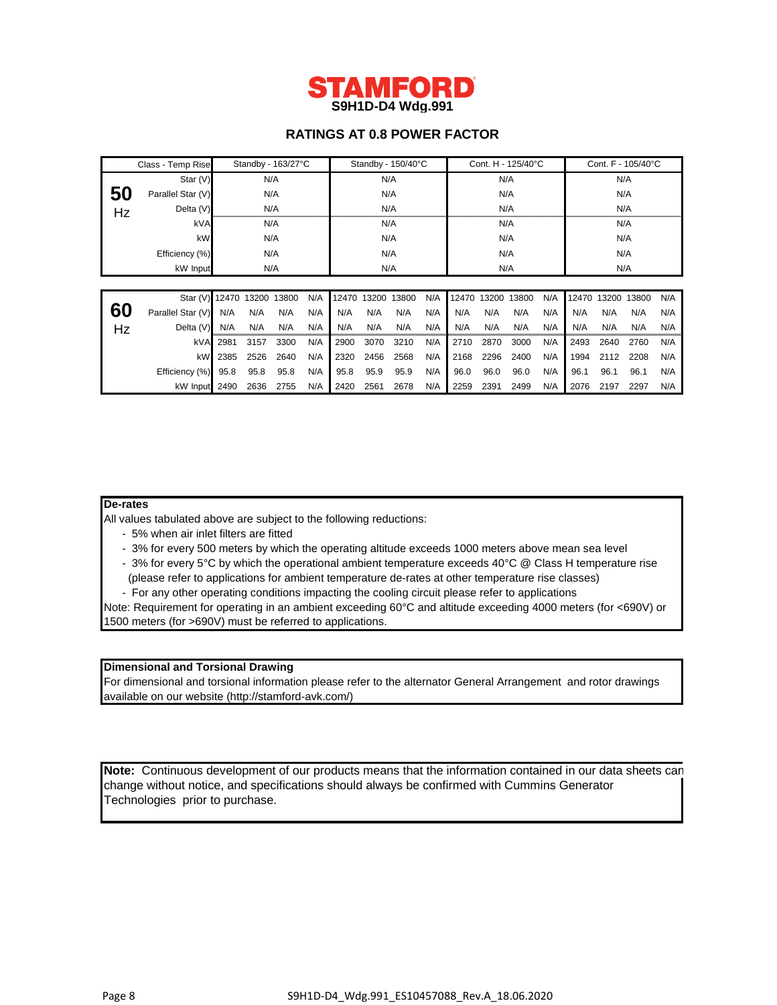

## **RATINGS AT 0.8 POWER FACTOR**

|    | Standby - 163/27°C<br>Class - Temp Rise |      |      |       |     | Standby - 150/40°C |             |       |     | Cont. H - 125/40°C |       |       |     |       | Cont. F - 105/40°C |       |     |  |
|----|-----------------------------------------|------|------|-------|-----|--------------------|-------------|-------|-----|--------------------|-------|-------|-----|-------|--------------------|-------|-----|--|
|    | Star (V)                                |      | N/A  |       |     | N/A                |             | N/A   |     |                    |       | N/A   |     |       |                    |       |     |  |
| 50 | Parallel Star (V)                       |      | N/A  |       | N/A |                    |             | N/A   |     |                    | N/A   |       |     |       |                    |       |     |  |
| Hz | Delta (V)                               |      |      | N/A   |     | N/A                |             |       | N/A |                    |       | N/A   |     |       |                    |       |     |  |
|    | kVA                                     |      | N/A  |       |     | N/A                |             | N/A   |     |                    | N/A   |       |     |       |                    |       |     |  |
|    | kW                                      | N/A  |      | N/A   |     |                    | N/A         |       |     | N/A                |       |       |     |       |                    |       |     |  |
|    | Efficiency (%)                          | N/A  |      | N/A   |     |                    | N/A         |       |     | N/A                |       |       |     |       |                    |       |     |  |
|    | kW Input                                | N/A  |      |       | N/A |                    |             | N/A   |     |                    | N/A   |       |     |       |                    |       |     |  |
|    |                                         |      |      |       |     |                    |             |       |     |                    |       |       |     |       |                    |       |     |  |
|    | Star (V) 12470 13200                    |      |      | 13800 | N/A |                    | 12470 13200 | 13800 | N/A | 12470              | 13200 | 13800 | N/A | 12470 | 13200              | 13800 | N/A |  |
| 60 | Parallel Star (V)                       | N/A  | N/A  | N/A   | N/A | N/A                | N/A         | N/A   | N/A | N/A                | N/A   | N/A   | N/A | N/A   | N/A                | N/A   | N/A |  |
| Hz | Delta (V)                               | N/A  | N/A  | N/A   | N/A | N/A                | N/A         | N/A   | N/A | N/A                | N/A   | N/A   | N/A | N/A   | N/A                | N/A   | N/A |  |
|    | kVA                                     | 2981 | 3157 | 3300  | N/A | 2900               | 3070        | 3210  | N/A | 2710               | 2870  | 3000  | N/A | 2493  | 2640               | 2760  | N/A |  |
|    | kW                                      | 2385 | 2526 | 2640  | N/A | 2320               | 2456        | 2568  | N/A | 2168               | 2296  | 2400  | N/A | 1994  | 2112               | 2208  | N/A |  |
|    | Efficiency (%)                          | 95.8 | 95.8 | 95.8  | N/A | 95.8               | 95.9        | 95.9  | N/A | 96.0               | 96.0  | 96.0  | N/A | 96.1  | 96.1               | 96.1  | N/A |  |
|    | kW Input                                | 2490 | 2636 | 2755  | N/A | 2420               | 2561        | 2678  | N/A | 2259               | 2391  | 2499  | N/A | 2076  | 2197               | 2297  | N/A |  |

#### **De-rates**

All values tabulated above are subject to the following reductions:

- 5% when air inlet filters are fitted
- 3% for every 500 meters by which the operating altitude exceeds 1000 meters above mean sea level
- 3% for every 5°C by which the operational ambient temperature exceeds 40°C @ Class H temperature rise
- (please refer to applications for ambient temperature de-rates at other temperature rise classes)
- For any other operating conditions impacting the cooling circuit please refer to applications

Note: Requirement for operating in an ambient exceeding 60°C and altitude exceeding 4000 meters (for <690V) or 1500 meters (for >690V) must be referred to applications.

#### **Dimensional and Torsional Drawing**

For dimensional and torsional information please refer to the alternator General Arrangement and rotor drawings available on our website (http://stamford-avk.com/)

**Note:** Continuous development of our products means that the information contained in our data sheets can change without notice, and specifications should always be confirmed with Cummins Generator Technologies prior to purchase.